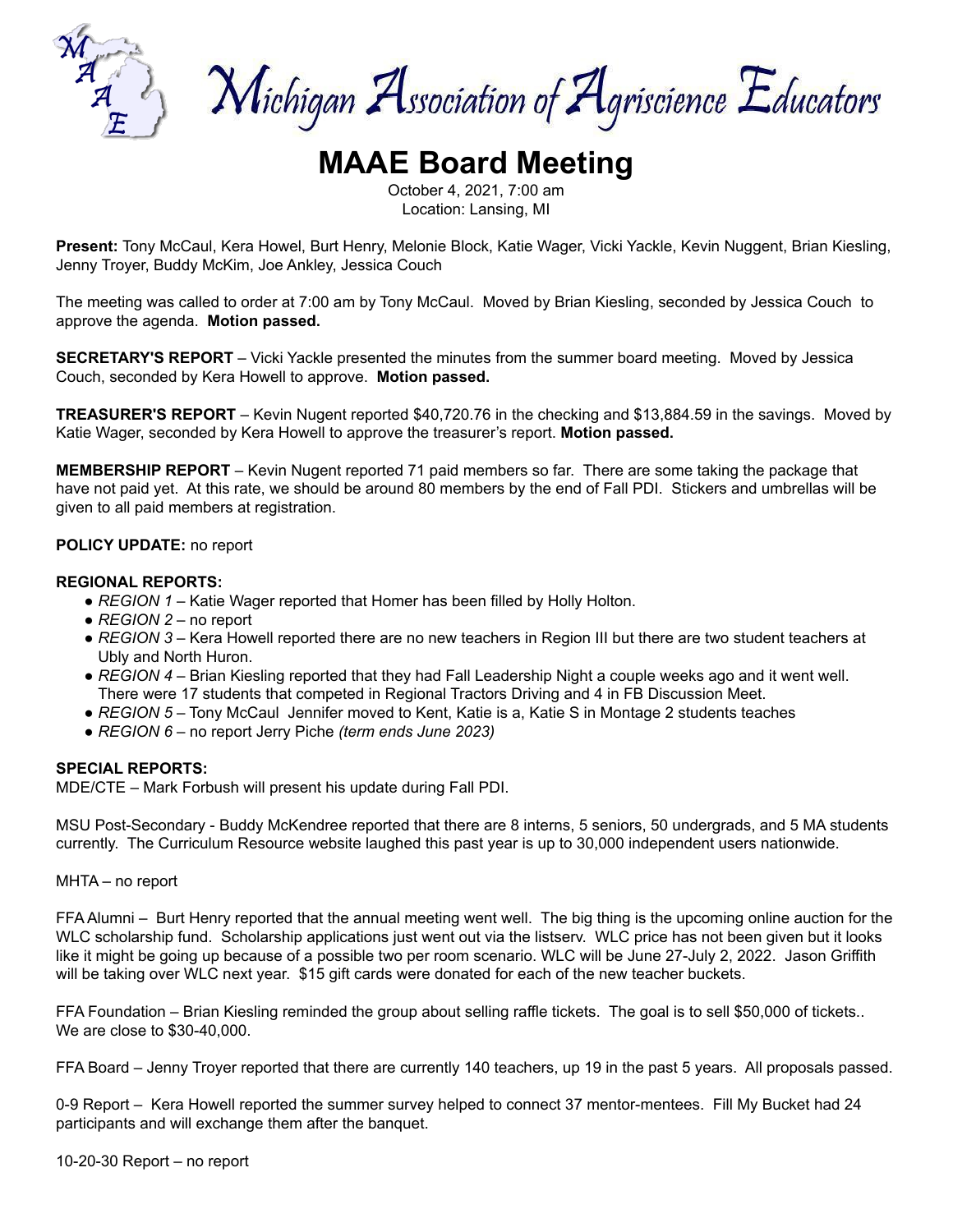

Michigan Association of Agriscience Educators

# **MAAE Board Meeting**

October 4, 2021, 7:00 am Location: Lansing, MI

**Present:** Tony McCaul, Kera Howel, Burt Henry, Melonie Block, Katie Wager, Vicki Yackle, Kevin Nuggent, Brian Kiesling, Jenny Troyer, Buddy McKim, Joe Ankley, Jessica Couch

The meeting was called to order at 7:00 am by Tony McCaul. Moved by Brian Kiesling, seconded by Jessica Couch to approve the agenda. **Motion passed.**

**SECRETARY'S REPORT** – Vicki Yackle presented the minutes from the summer board meeting. Moved by Jessica Couch, seconded by Kera Howell to approve. **Motion passed.**

**TREASURER'S REPORT** – Kevin Nugent reported \$40,720.76 in the checking and \$13,884.59 in the savings. Moved by Katie Wager, seconded by Kera Howell to approve the treasurer's report. **Motion passed.**

**MEMBERSHIP REPORT** – Kevin Nugent reported 71 paid members so far. There are some taking the package that have not paid yet. At this rate, we should be around 80 members by the end of Fall PDI. Stickers and umbrellas will be given to all paid members at registration.

## **POLICY UPDATE:** no report

#### **REGIONAL REPORTS:**

- *REGION 1* Katie Wager reported that Homer has been filled by Holly Holton.
- *REGION 2* no report
- *REGION 3* Kera Howell reported there are no new teachers in Region III but there are two student teachers at Ubly and North Huron.
- *REGION 4* Brian Kiesling reported that they had Fall Leadership Night a couple weeks ago and it went well. There were 17 students that competed in Regional Tractors Driving and 4 in FB Discussion Meet.
- *REGION 5* Tony McCaul Jennifer moved to Kent, Katie is a, Katie S in Montage 2 students teaches
- *REGION 6* no report Jerry Piche *(term ends June 2023)*

#### **SPECIAL REPORTS:**

MDE/CTE – Mark Forbush will present his update during Fall PDI.

MSU Post-Secondary - Buddy McKendree reported that there are 8 interns, 5 seniors, 50 undergrads, and 5 MA students currently. The Curriculum Resource website laughed this past year is up to 30,000 independent users nationwide.

MHTA – no report

FFA Alumni – Burt Henry reported that the annual meeting went well. The big thing is the upcoming online auction for the WLC scholarship fund. Scholarship applications just went out via the listserv. WLC price has not been given but it looks like it might be going up because of a possible two per room scenario. WLC will be June 27-July 2, 2022. Jason Griffith will be taking over WLC next year. \$15 gift cards were donated for each of the new teacher buckets.

FFA Foundation – Brian Kiesling reminded the group about selling raffle tickets. The goal is to sell \$50,000 of tickets.. We are close to \$30-40,000.

FFA Board – Jenny Troyer reported that there are currently 140 teachers, up 19 in the past 5 years. All proposals passed.

0-9 Report – Kera Howell reported the summer survey helped to connect 37 mentor-mentees. Fill My Bucket had 24 participants and will exchange them after the banquet.